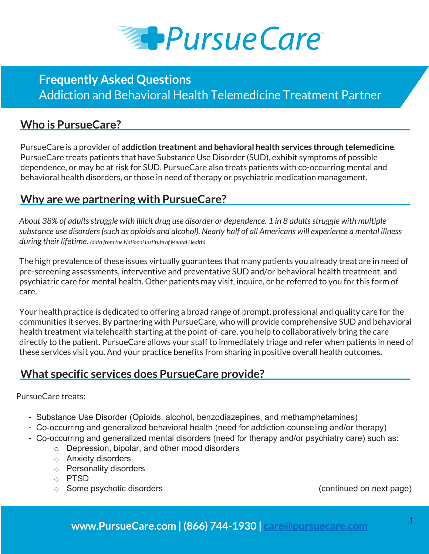

# **Who is PursueCare?**

PursueCare is a provider of **addiction treatment and behavioral health services through telemedicine**. PursueCare treats patients that have Substance Use Disorder (SUD), exhibit symptoms of possible dependence, or may be at risk for SUD. PursueCare also treats patients with co-occurring mental and behavioral health disorders, or those in need of therapy or psychiatric medication management.

#### **Why are we partnering with PursueCare?**

*About 38% of adults struggle with illicit drug use disorder or dependence. 1 in 8 adults struggle with multiple substance use disorders (such as opioids and alcohol). Nearly half of all Americans will experience a mental illness during their lifetime. (data from the National Institute of Mental Health)*

The high prevalence of these issues virtually guarantees that many patients you already treat are in need of pre-screening assessments, interventive and preventative SUD and/or behavioral health treatment, and psychiatric care for mental health. Other patients may visit, inquire, or be referred to you for this form of care.

Your health practice is dedicated to offering a broad range of prompt, professional and quality care for the communities it serves. By partnering with PursueCare, who will provide comprehensive SUD and behavioral health treatment via telehealth starting at the point-of-care, you help to collaboratively bring the care directly to the patient. PursueCare allows your staff to immediately triage and refer when patients in need of these services visit you. And your practice benefits from sharing in positive overall health outcomes.

# **What specific services does PursueCare provide?**

#### PursueCare treats:

- Substance Use Disorder (Opioids, alcohol, benzodiazepines, and methamphetamines)
- Co-occurring and generalized behavioral health (need for addiction counseling and/or therapy)
- Co-occurring and generalized mental disorders (need for therapy and/or psychiatry care) such as:
	- o Depression, bipolar, and other mood disorders
	- o Anxiety disorders
	- o Personality disorders
	- o PTSD
	- o Some psychotic disorders (continued on next page)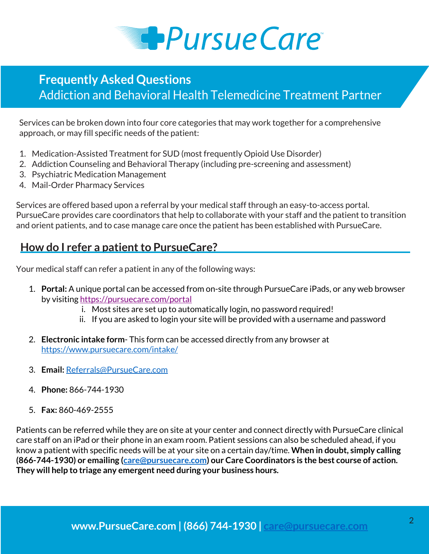

Services can be broken down into four core categories that may work together for a comprehensive approach, or may fill specific needs of the patient:

- 1. Medication-Assisted Treatment for SUD (most frequently Opioid Use Disorder)
- 2. Addiction Counseling and Behavioral Therapy (including pre-screening and assessment)
- 3. Psychiatric Medication Management
- 4. Mail-Order Pharmacy Services

Services are offered based upon a referral by your medical staff through an easy-to-access portal. PursueCare provides care coordinators that help to collaborate with your staff and the patient to transition and orient patients, and to case manage care once the patient has been established with PursueCare.

### **How do I refer a patient to PursueCare?**

Your medical staff can refer a patient in any of the following ways:

- 1. **Portal:** A unique portal can be accessed from on-site through PursueCare iPads, or any web browser by visiting https://pursuecare.com/portal
	- i. Most sites are set up to automatically login, no password required!
	- ii. If you are asked to login your site will be provided with a username and password
- 2. **Electronic intake form** This form can be accessed directly from any browser at https://www.pursuecare.com/intake/
- 3. **Email:** Referrals@PursueCare.com
- 4. **Phone:** 866-744-1930
- 5. **Fax:** 860-469-2555

Patients can be referred while they are on site at your center and connect directly with PursueCare clinical care staff on an iPad or their phone in an exam room. Patient sessions can also be scheduled ahead, if you know a patient with specific needs will be at your site on a certain day/time. **When in doubt, simply calling (866-744-1930) or emailing (care@pursuecare.com) our Care Coordinators is the best course of action. They will help to triage any emergent need during your business hours.**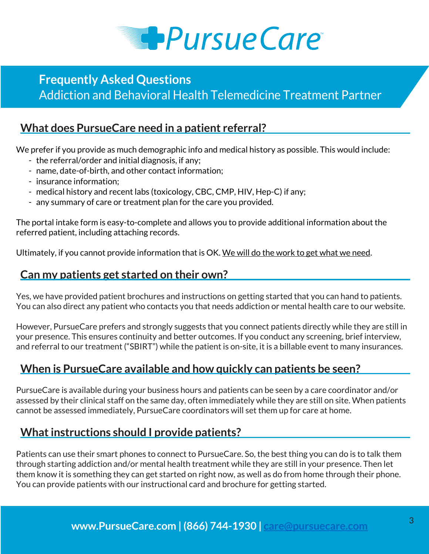

# **What does PursueCare need in a patient referral?**

We prefer if you provide as much demographic info and medical history as possible. This would include:

- the referral/order and initial diagnosis, if any;
- name, date-of-birth, and other contact information;
- insurance information;
- medical history and recent labs (toxicology, CBC, CMP, HIV, Hep-C) if any;
- any summary of care or treatment plan for the care you provided.

The portal intake form is easy-to-complete and allows you to provide additional information about the referred patient, including attaching records.

Ultimately, if you cannot provide information that is OK. We will do the work to get what we need.

### **Can my patients get started on their own?**

Yes, we have provided patient brochures and instructions on getting started that you can hand to patients. You can also direct any patient who contacts you that needs addiction or mental health care to our website.

However, PursueCare prefers and strongly suggests that you connect patients directly while they are still in your presence. This ensures continuity and better outcomes. If you conduct any screening, brief interview, and referral to our treatment ("SBIRT") while the patient is on-site, it is a billable event to many insurances.

# **When is PursueCare available and how quickly can patients be seen?**

PursueCare is available during your business hours and patients can be seen by a care coordinator and/or assessed by their clinical staff on the same day, often immediately while they are still on site. When patients cannot be assessed immediately, PursueCare coordinators will set them up for care at home.

# **What instructions should I provide patients?**

Patients can use their smart phones to connect to PursueCare. So, the best thing you can do is to talk them through starting addiction and/or mental health treatment while they are still in your presence. Then let them know it is something they can get started on right now, as well as do from home through their phone. You can provide patients with our instructional card and brochure for getting started.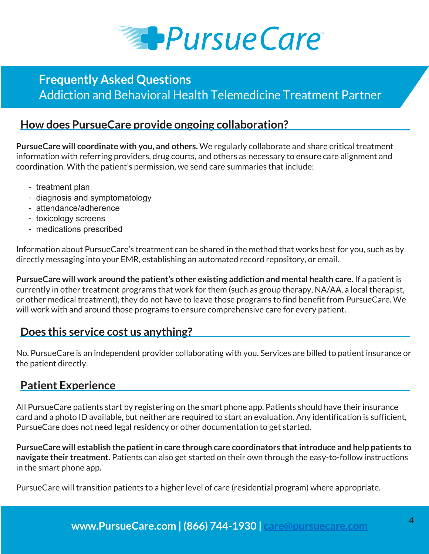

#### **How does PursueCare provide ongoing collaboration?**

**PursueCare will coordinate with you, and others.** We regularly collaborate and share critical treatment information with referring providers, drug courts, and others as necessary to ensure care alignment and coordination. With the patient's permission, we send care summaries that include:

- treatment plan
- diagnosis and symptomatology
- attendance/adherence
- toxicology screens
- medications prescribed

Information about PursueCare's treatment can be shared in the method that works best for you, such as by directly messaging into your EMR, establishing an automated record repository, or email.

**PursueCare will work around the patient's other existing addiction and mental health care.** If a patient is currently in other treatment programs that work for them (such as group therapy, NA/AA, a local therapist, or other medical treatment), they do not have to leave those programs to find benefit from PursueCare. We will work with and around those programs to ensure comprehensive care for every patient.

#### **Does this service cost us anything?**

No. PursueCare is an independent provider collaborating with you. Services are billed to patient insurance or the patient directly.

#### **Patient Experience**

All PursueCare patients start by registering on the smart phone app. Patients should have their insurance card and a photo ID available, but neither are required to start an evaluation. Any identification is sufficient, PursueCare does not need legal residency or other documentation to get started.

**PursueCare will establish the patient in care through care coordinators that introduce and help patients to navigate their treatment.** Patients can also get started on their own through the easy-to-follow instructions in the smart phone app.

PursueCare will transition patients to a higher level of care (residential program) where appropriate.